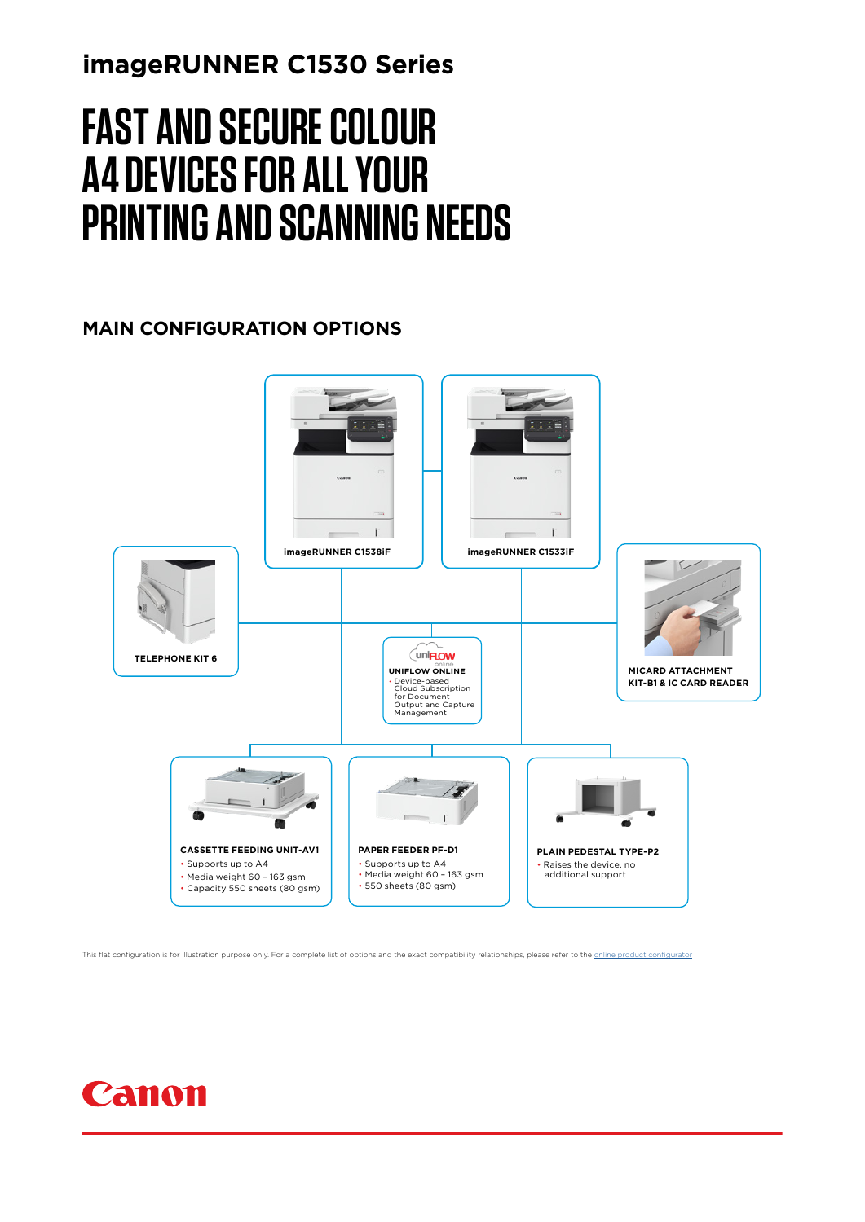### **imageRUNNER C1530 Series**

# **FAST AND SECURE COLOUR A4 DEVICES FOR ALL YOUR PRINTING AND SCANNING NEEDS**

### **MAIN CONFIGURATION OPTIONS**



This flat configuration is for illustration purpose only. For a complete list of options and the exact compatibility relationships, please refer to the [online product configurator](http://prod.c-oipsst.com/configurator-cs/configurator.html?region=CEL1&top=top2)

## Canon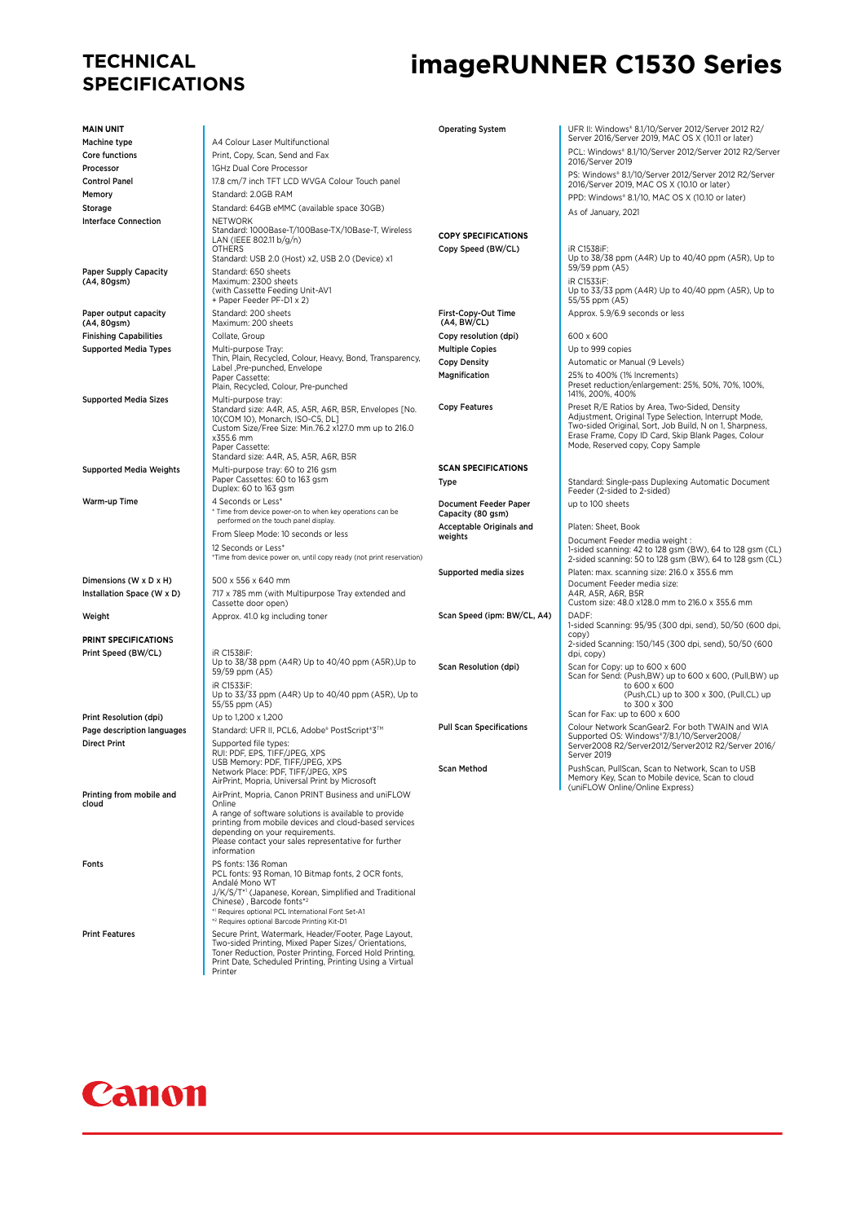# **TECHNICAL**

## **imageRUNNER C1530 Series**

| <b>MAIN UNIT</b><br><b>Machine type</b> | A4 Colour Laser Multifunctional                                                                              | <b>Operating System</b>            | UFR II: Windows* 8.1/10/Server 2012/Server 2012 R2/<br>Server 2016/Server 2019, MAC OS X (10.11 or later)            |
|-----------------------------------------|--------------------------------------------------------------------------------------------------------------|------------------------------------|----------------------------------------------------------------------------------------------------------------------|
| Core functions                          | Print, Copy, Scan, Send and Fax                                                                              |                                    | PCL: Windows® 8.1/10/Server 2012/Server 2012 R2/Server                                                               |
| Processor                               | 1GHz Dual Core Processor                                                                                     |                                    | 2016/Server 2019                                                                                                     |
| <b>Control Panel</b>                    | 17.8 cm/7 inch TFT LCD WVGA Colour Touch panel                                                               |                                    | PS: Windows® 8.1/10/Server 2012/Server 2012 R2/Server<br>2016/Server 2019, MAC OS X (10.10 or later)                 |
| Memory                                  | Standard: 2.0GB RAM                                                                                          |                                    | PPD: Windows* 8.1/10, MAC OS X (10.10 or later)                                                                      |
| Storage                                 | Standard: 64GB eMMC (available space 30GB)                                                                   |                                    |                                                                                                                      |
| <b>Interface Connection</b>             | <b>NETWORK</b>                                                                                               |                                    | As of January, 2021                                                                                                  |
|                                         | Standard: 1000Base-T/100Base-TX/10Base-T, Wireless<br>LAN (IEEE 802.11 b/g/n)                                | <b>COPY SPECIFICATIONS</b>         |                                                                                                                      |
|                                         | <b>OTHERS</b>                                                                                                | Copy Speed (BW/CL)                 | iR C1538iF:                                                                                                          |
|                                         | Standard: USB 2.0 (Host) x2, USB 2.0 (Device) x1                                                             |                                    | Up to 38/38 ppm (A4R) Up to 40/40 ppm (A5R), Up to<br>59/59 ppm (A5)                                                 |
| Paper Supply Capacity<br>(A4, 80gsm)    | Standard: 650 sheets<br>Maximum: 2300 sheets                                                                 |                                    | <b>iR C1533iF:</b>                                                                                                   |
|                                         | (with Cassette Feeding Unit-AV1                                                                              |                                    | Up to 33/33 ppm (A4R) Up to 40/40 ppm (A5R), Up to                                                                   |
|                                         | + Paper Feeder PF-D1 x 2)                                                                                    |                                    | 55/55 ppm (A5)                                                                                                       |
| Paper output capacity<br>(A4, 80gsm)    | Standard: 200 sheets<br>Maximum: 200 sheets                                                                  | First-Copy-Out Time<br>(A4, BW/CL) | Approx. 5.9/6.9 seconds or less                                                                                      |
| <b>Finishing Capabilities</b>           | Collate, Group                                                                                               | Copy resolution (dpi)              | 600 x 600                                                                                                            |
| <b>Supported Media Types</b>            | Multi-purpose Tray:                                                                                          | <b>Multiple Copies</b>             | Up to 999 copies                                                                                                     |
|                                         | Thin, Plain, Recycled, Colour, Heavy, Bond, Transparency,                                                    | <b>Copy Density</b>                | Automatic or Manual (9 Levels)                                                                                       |
|                                         | Label ,Pre-punched, Envelope<br>Paper Cassette:                                                              | Magnification                      | 25% to 400% (1% Increments)                                                                                          |
|                                         | Plain, Recycled, Colour, Pre-punched                                                                         |                                    | Preset reduction/enlargement: 25%, 50%, 70%, 100%,<br>141%, 200%, 400%                                               |
| <b>Supported Media Sizes</b>            | Multi-purpose tray:                                                                                          | <b>Copy Features</b>               | Preset R/E Ratios by Area, Two-Sided, Density                                                                        |
|                                         | Standard size: A4R, A5, A5R, A6R, B5R, Envelopes [No.<br>10(COM 10), Monarch, ISO-C5, DL]                    |                                    | Adjustment, Original Type Selection, Interrupt Mode,                                                                 |
|                                         | Custom Size/Free Size: Min.76.2 x127.0 mm up to 216.0                                                        |                                    | Two-sided Original, Sort, Job Build, N on 1, Sharpness,<br>Erase Frame, Copy ID Card, Skip Blank Pages, Colour       |
|                                         | x355.6 mm<br>Paper Cassette:                                                                                 |                                    | Mode, Reserved copy, Copy Sample                                                                                     |
|                                         | Standard size: A4R, A5, A5R, A6R, B5R                                                                        |                                    |                                                                                                                      |
| <b>Supported Media Weights</b>          | Multi-purpose tray: 60 to 216 gsm                                                                            | <b>SCAN SPECIFICATIONS</b>         |                                                                                                                      |
|                                         | Paper Cassettes: 60 to 163 gsm<br>Duplex: 60 to 163 gsm                                                      | Type                               | Standard: Single-pass Duplexing Automatic Document<br>Feeder (2-sided to 2-sided)                                    |
| Warm-up Time                            | 4 Seconds or Less*                                                                                           | Document Feeder Paper              | up to 100 sheets                                                                                                     |
|                                         | * Time from device power-on to when key operations can be                                                    | Capacity (80 gsm)                  |                                                                                                                      |
|                                         | performed on the touch panel display.<br>From Sleep Mode: 10 seconds or less                                 | <b>Acceptable Originals and</b>    | Platen: Sheet, Book                                                                                                  |
|                                         | 12 Seconds or Less*                                                                                          | weights                            | Document Feeder media weight :                                                                                       |
|                                         | *Time from device power on, until copy ready (not print reservation)                                         |                                    | 1-sided scanning: 42 to 128 gsm (BW), 64 to 128 gsm (CL)<br>2-sided scanning: 50 to 128 gsm (BW), 64 to 128 gsm (CL) |
|                                         |                                                                                                              | Supported media sizes              | Platen: max. scanning size: 216.0 x 355.6 mm                                                                         |
| Dimensions (W x D x H)                  | 500 x 556 x 640 mm                                                                                           |                                    | Document Feeder media size:                                                                                          |
| Installation Space (W x D)              | 717 x 785 mm (with Multipurpose Tray extended and<br>Cassette door open)                                     |                                    | A4R, A5R, A6R, B5R<br>Custom size: 48.0 x128.0 mm to 216.0 x 355.6 mm                                                |
| Weight                                  | Approx. 41.0 kg including toner                                                                              | Scan Speed (ipm: BW/CL, A4)        | DADF:                                                                                                                |
|                                         |                                                                                                              |                                    | 1-sided Scanning: 95/95 (300 dpi, send), 50/50 (600 dpi,                                                             |
| <b>PRINT SPECIFICATIONS</b>             |                                                                                                              |                                    | CODY)<br>2-sided Scanning: 150/145 (300 dpi, send), 50/50 (600                                                       |
| Print Speed (BW/CL)                     | iR C1538iF:                                                                                                  |                                    | dpi, copy)                                                                                                           |
|                                         | Up to 38/38 ppm (A4R) Up to 40/40 ppm (A5R), Up to<br>59/59 ppm (A5)                                         | Scan Resolution (dpi)              | Scan for Copy: up to 600 x 600<br>Scan for Send: (Push,BW) up to 600 x 600, (Pull,BW) up                             |
|                                         | iR C1533iF:                                                                                                  |                                    | to 600 x 600                                                                                                         |
|                                         | Up to 33/33 ppm (A4R) Up to 40/40 ppm (A5R), Up to<br>55/55 ppm (A5)                                         |                                    | (Push,CL) up to 300 x 300, (Pull,CL) up<br>to 300 x 300                                                              |
| Print Resolution (dpi)                  | Up to 1.200 x 1.200                                                                                          |                                    | Scan for Fax: up to 600 x 600                                                                                        |
| Page description languages              | Standard: UFR II, PCL6, Adobe® PostScript®3™                                                                 | <b>Pull Scan Specifications</b>    | Colour Network ScanGear2. For both TWAIN and WIA                                                                     |
| <b>Direct Print</b>                     | Supported file types:                                                                                        |                                    | Supported OS: Windows*7/8.1/10/Server2008/<br>Server2008 R2/Server2012/Server2012 R2/Server 2016/                    |
|                                         | RUI: PDF, EPS, TIFF/JPEG, XPS                                                                                |                                    | Server 2019                                                                                                          |
|                                         | USB Memory: PDF, TIFF/JPEG, XPS<br>Network Place: PDF, TIFF/JPEG, XPS                                        | <b>Scan Method</b>                 | PushScan, PullScan, Scan to Network, Scan to USB                                                                     |
|                                         | AirPrint, Mopria, Universal Print by Microsoft                                                               |                                    | Memory Key, Scan to Mobile device, Scan to cloud<br>(uniFLOW Online/Online Express)                                  |
| Printing from mobile and<br>cloud       | AirPrint, Mopria, Canon PRINT Business and uniFLOW<br>Online                                                 |                                    |                                                                                                                      |
|                                         | A range of software solutions is available to provide                                                        |                                    |                                                                                                                      |
|                                         | printing from mobile devices and cloud-based services<br>depending on your requirements.                     |                                    |                                                                                                                      |
|                                         | Please contact your sales representative for further                                                         |                                    |                                                                                                                      |
|                                         | information                                                                                                  |                                    |                                                                                                                      |
| Fonts                                   | PS fonts: 136 Roman<br>PCL fonts: 93 Roman, 10 Bitmap fonts, 2 OCR fonts,                                    |                                    |                                                                                                                      |
|                                         | Andalé Mono WT                                                                                               |                                    |                                                                                                                      |
|                                         | J/K/S/T*1 (Japanese, Korean, Simplified and Traditional<br>Chinese), Barcode fonts*2                         |                                    |                                                                                                                      |
|                                         | *1 Requires optional PCL International Font Set-A1                                                           |                                    |                                                                                                                      |
|                                         | *2 Requires optional Barcode Printing Kit-D1                                                                 |                                    |                                                                                                                      |
| <b>Print Features</b>                   | Secure Print, Watermark, Header/Footer, Page Layout,<br>Two-sided Printing, Mixed Paper Sizes/ Orientations, |                                    |                                                                                                                      |
|                                         | Toner Reduction, Poster Printing, Forced Hold Printing,                                                      |                                    |                                                                                                                      |
|                                         | Print Date, Scheduled Printing, Printing Using a Virtual<br>Printer                                          |                                    |                                                                                                                      |

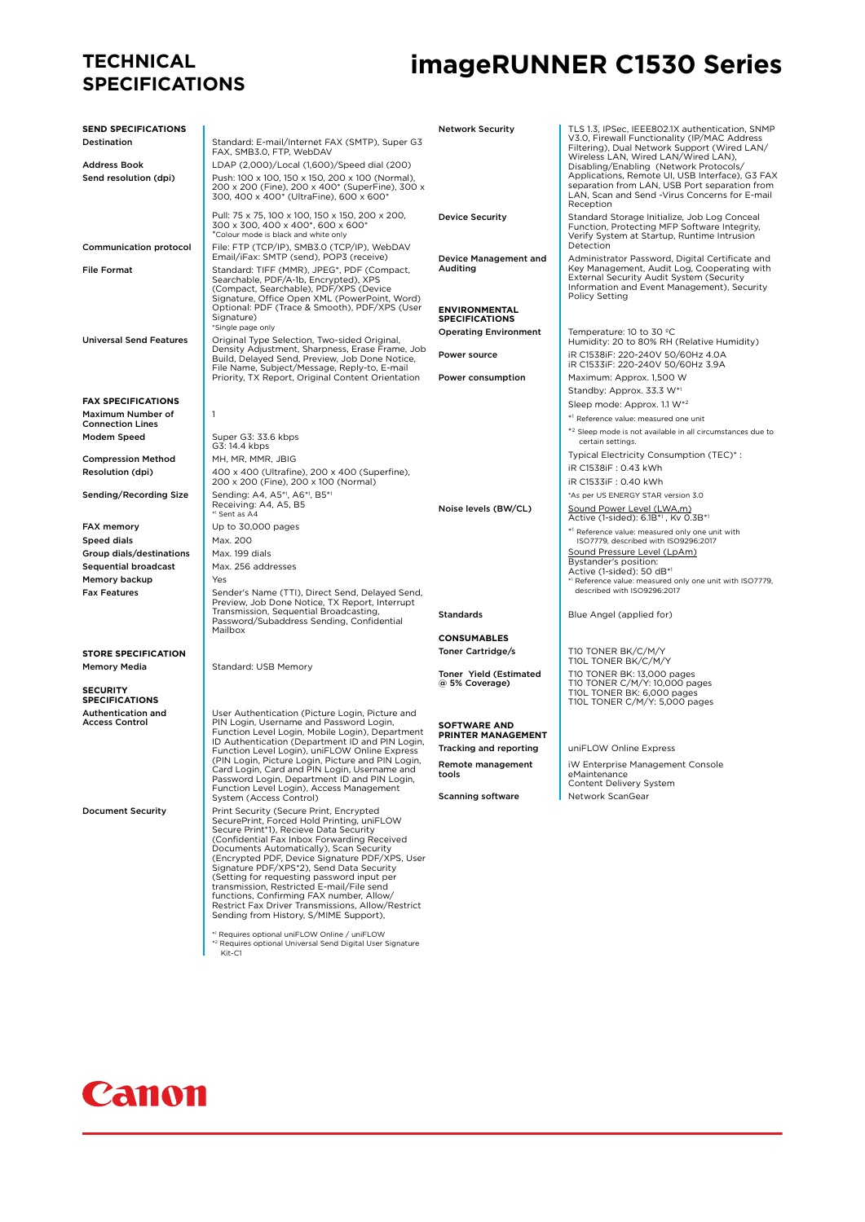#### **TECHNICAL SPECIFICATIONS**

### **imageRUNNER C1530 Series**

| <b>SEND SPECIFICATIONS</b>                   |                                                                                                                                                                                                                                                                                                                                                                                                                                                                                                                     | <b>Network Security</b>                          | TLS 1.3, IPSec, IEEE802.1X authentication, SNMP<br>V3.0, Firewall Functionality (IP/MAC Address                      |
|----------------------------------------------|---------------------------------------------------------------------------------------------------------------------------------------------------------------------------------------------------------------------------------------------------------------------------------------------------------------------------------------------------------------------------------------------------------------------------------------------------------------------------------------------------------------------|--------------------------------------------------|----------------------------------------------------------------------------------------------------------------------|
| Destination                                  | Standard: E-mail/Internet FAX (SMTP), Super G3<br>FAX, SMB3.0, FTP, WebDAV                                                                                                                                                                                                                                                                                                                                                                                                                                          |                                                  | Filtering), Dual Network Support (Wired LAN/                                                                         |
| Address Book                                 | LDAP (2,000)/Local (1,600)/Speed dial (200)                                                                                                                                                                                                                                                                                                                                                                                                                                                                         |                                                  | Wireless LAN, Wired LAN/Wired LAN),<br>Disabling/Enabling (Network Protocols/                                        |
| Send resolution (dpi)                        | Push: 100 x 100, 150 x 150, 200 x 100 (Normal),                                                                                                                                                                                                                                                                                                                                                                                                                                                                     |                                                  | Applications, Remote UI, USB Interface), G3 FAX                                                                      |
|                                              | 200 x 200 (Fine), 200 x 400* (SuperFine), 300 x<br>300, 400 x 400* (UltraFine), 600 x 600*                                                                                                                                                                                                                                                                                                                                                                                                                          |                                                  | separation from LAN, USB Port separation from<br>LAN, Scan and Send -Virus Concerns for E-mail<br>Reception          |
|                                              | Pull: 75 x 75, 100 x 100, 150 x 150, 200 x 200,<br>300 x 300, 400 x 400*, 600 x 600*<br>*Colour mode is black and white only                                                                                                                                                                                                                                                                                                                                                                                        | <b>Device Security</b>                           | Standard Storage Initialize, Job Log Conceal<br>Function, Protecting MFP Software Integrity,                         |
| <b>Communication protocol</b>                | File: FTP (TCP/IP), SMB3.0 (TCP/IP), WebDAV<br>Email/iFax: SMTP (send), POP3 (receive)                                                                                                                                                                                                                                                                                                                                                                                                                              |                                                  | Verify System at Startup, Runtime Intrusion<br>Detection                                                             |
| <b>File Format</b>                           | Standard: TIFF (MMR), JPEG*, PDF (Compact,                                                                                                                                                                                                                                                                                                                                                                                                                                                                          | Device Management and<br>Auditing                | Administrator Password, Digital Certificate and<br>Key Management, Audit Log, Cooperating with                       |
|                                              | Searchable, PDF/A-1b, Encrypted), XPS<br>(Compact, Searchable), PDF/XPS (Device<br>Signature, Office Open XML (PowerPoint, Word)                                                                                                                                                                                                                                                                                                                                                                                    |                                                  | External Security Audit System (Security<br>Information and Event Management), Security<br><b>Policy Setting</b>     |
|                                              | Optional: PDF (Trace & Smooth), PDF/XPS (User<br>Signature)                                                                                                                                                                                                                                                                                                                                                                                                                                                         | <b>ENVIRONMENTAL</b><br><b>SPECIFICATIONS</b>    |                                                                                                                      |
|                                              | *Single page only                                                                                                                                                                                                                                                                                                                                                                                                                                                                                                   | <b>Operating Environment</b>                     | Temperature: 10 to 30 °C                                                                                             |
| <b>Universal Send Features</b>               | Original Type Selection, Two-sided Original,<br>Density Adjustment, Sharpness, Erase Frame, Job<br>Build, Delayed Send, Preview, Job Done Notice,                                                                                                                                                                                                                                                                                                                                                                   | Power source                                     | Humidity: 20 to 80% RH (Relative Humidity)<br>iR C1538iF: 220-240V 50/60Hz 4.0A<br>iR C1533iF: 220-240V 50/60Hz 3.9A |
|                                              | File Name, Subject/Message, Reply-to, E-mail<br>Priority, TX Report, Original Content Orientation                                                                                                                                                                                                                                                                                                                                                                                                                   | Power consumption                                | Maximum: Approx. 1,500 W                                                                                             |
|                                              |                                                                                                                                                                                                                                                                                                                                                                                                                                                                                                                     |                                                  | Standby: Approx. 33.3 W*1                                                                                            |
| <b>FAX SPECIFICATIONS</b>                    |                                                                                                                                                                                                                                                                                                                                                                                                                                                                                                                     |                                                  | Sleep mode: Approx. 1.1 W*2                                                                                          |
| Maximum Number of<br><b>Connection Lines</b> | $\mathbf{1}$                                                                                                                                                                                                                                                                                                                                                                                                                                                                                                        |                                                  | *1 Reference value: measured one unit                                                                                |
| Modem Speed                                  | Super G3: 33.6 kbps<br>G3: 14.4 kbps                                                                                                                                                                                                                                                                                                                                                                                                                                                                                |                                                  | *2 Sleep mode is not available in all circumstances due to<br>certain settings.                                      |
| <b>Compression Method</b>                    | MH, MR, MMR, JBIG                                                                                                                                                                                                                                                                                                                                                                                                                                                                                                   |                                                  | Typical Electricity Consumption (TEC)*:                                                                              |
| Resolution (dpi)                             | 400 x 400 (Ultrafine), 200 x 400 (Superfine),                                                                                                                                                                                                                                                                                                                                                                                                                                                                       |                                                  | iR C1538iF: 0.43 kWh                                                                                                 |
|                                              | 200 x 200 (Fine), 200 x 100 (Normal)                                                                                                                                                                                                                                                                                                                                                                                                                                                                                |                                                  | iR C1533iF: 0.40 kWh                                                                                                 |
| Sending/Recording Size                       | Sending: A4, A5*1, A6*1, B5*1<br>Receiving: A4, A5, B5<br>* <sup>1</sup> Sent as A4                                                                                                                                                                                                                                                                                                                                                                                                                                 | Noise levels (BW/CL)                             | *As per US ENERGY STAR version 3.0<br>Sound Power Level (LWA,m)<br>Active (1-sided): 6.1B*1, Kv 0.3B*1               |
| FAX memory                                   | Up to 30,000 pages                                                                                                                                                                                                                                                                                                                                                                                                                                                                                                  |                                                  | *1 Reference value: measured only one unit with                                                                      |
| Speed dials                                  | Max. 200                                                                                                                                                                                                                                                                                                                                                                                                                                                                                                            |                                                  | ISO7779, described with ISO9296:2017                                                                                 |
| Group dials/destinations                     | Max. 199 dials                                                                                                                                                                                                                                                                                                                                                                                                                                                                                                      |                                                  | Sound Pressure Level (LpAm)<br>Bystander's position:                                                                 |
| <b>Sequential broadcast</b>                  | Max. 256 addresses                                                                                                                                                                                                                                                                                                                                                                                                                                                                                                  |                                                  | Active (1-sided): 50 dB*1                                                                                            |
| Memory backup                                | Yes                                                                                                                                                                                                                                                                                                                                                                                                                                                                                                                 |                                                  | *1 Reference value: measured only one unit with ISO7779,<br>described with ISO9296:2017                              |
| <b>Fax Features</b>                          | Sender's Name (TTI), Direct Send, Delayed Send,<br>Preview, Job Done Notice, TX Report, Interrupt                                                                                                                                                                                                                                                                                                                                                                                                                   |                                                  |                                                                                                                      |
|                                              | Transmission, Sequential Broadcasting,<br>Password/Subaddress Sending, Confidential                                                                                                                                                                                                                                                                                                                                                                                                                                 | Standards                                        | Blue Angel (applied for)                                                                                             |
|                                              | Mailbox                                                                                                                                                                                                                                                                                                                                                                                                                                                                                                             | <b>CONSUMABLES</b>                               |                                                                                                                      |
| <b>STORE SPECIFICATION</b>                   |                                                                                                                                                                                                                                                                                                                                                                                                                                                                                                                     | Toner Cartridge/s                                | T10 TONER BK/C/M/Y                                                                                                   |
| Memory Media                                 | Standard: USB Memory                                                                                                                                                                                                                                                                                                                                                                                                                                                                                                |                                                  | T10L TONER BK/C/M/Y                                                                                                  |
| <b>SECURITY</b>                              |                                                                                                                                                                                                                                                                                                                                                                                                                                                                                                                     | <b>Toner Yield (Estimated)</b><br>@ 5% Coverage) | T10 TONER BK: 13,000 pages<br>T10 TONER C/M/Y: 10,000 pages<br>T10L TONER BK: 6,000 pages                            |
| <b>SPECIFICATIONS</b>                        |                                                                                                                                                                                                                                                                                                                                                                                                                                                                                                                     |                                                  | T10L TONER C/M/Y: 5,000 pages                                                                                        |
| Authentication and<br><b>Access Control</b>  | User Authentication (Picture Login, Picture and<br>PIN Login, Username and Password Login,                                                                                                                                                                                                                                                                                                                                                                                                                          | <b>SOFTWARE AND</b>                              |                                                                                                                      |
|                                              | Function Level Login, Mobile Login), Department<br>ID Authentication (Department ID and PIN Login,                                                                                                                                                                                                                                                                                                                                                                                                                  | PRINTER MANAGEMENT                               |                                                                                                                      |
|                                              | Function Level Login), uniFLOW Online Express                                                                                                                                                                                                                                                                                                                                                                                                                                                                       | Tracking and reporting                           | uniFLOW Online Express                                                                                               |
|                                              | (PIN Login, Picture Login, Picture and PIN Login,<br>Card Login, Card and PIN Login, Username and                                                                                                                                                                                                                                                                                                                                                                                                                   | Remote management                                | iW Enterprise Management Console                                                                                     |
|                                              | Password Login, Department ID and PIN Login,                                                                                                                                                                                                                                                                                                                                                                                                                                                                        | tools                                            | eMaintenance<br>Content Delivery System                                                                              |
|                                              | Function Level Login), Access Management<br>System (Access Control)                                                                                                                                                                                                                                                                                                                                                                                                                                                 | <b>Scanning software</b>                         | Network ScanGear                                                                                                     |
| <b>Document Security</b>                     | Print Security (Secure Print, Encrypted<br>SecurePrint, Forced Hold Printing, uniFLOW<br>Secure Print*1), Recieve Data Security<br>(Confidential Fax Inbox Forwarding Received<br>Documents Automatically), Scan Security<br>(Encrypted PDF, Device Signature PDF/XPS, User<br>Signature PDF/XPS*2). Send Data Security<br>(Setting for requesting password input per<br>transmission, Restricted E-mail/File send<br>functions. Confirming FAX number. Allow/<br>Restrict Fax Driver Transmissions, Allow/Restrict |                                                  |                                                                                                                      |
|                                              | Sending from History, S/MIME Support),                                                                                                                                                                                                                                                                                                                                                                                                                                                                              |                                                  |                                                                                                                      |

\*1 Requires optional uniFLOW Online / uniFLOW \*2 Requires optional Universal Send Digital User Signature Kit-C1

## Canon